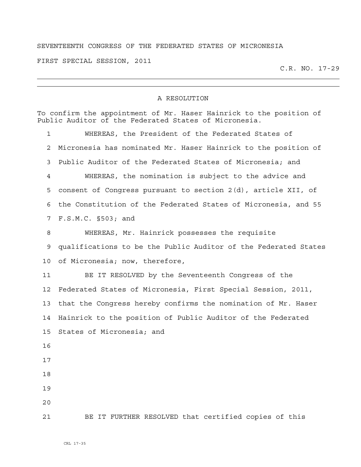## SEVENTEENTH CONGRESS OF THE FEDERATED STATES OF MICRONESIA

FIRST SPECIAL SESSION, 2011

C.R. NO. 17-29

## A RESOLUTION

| To confirm the appointment of Mr. Haser Hainrick to the position of<br>Public Auditor of the Federated States of Micronesia. |                                                                 |
|------------------------------------------------------------------------------------------------------------------------------|-----------------------------------------------------------------|
| $\mathbf 1$                                                                                                                  | WHEREAS, the President of the Federated States of               |
| 2                                                                                                                            | Micronesia has nominated Mr. Haser Hainrick to the position of  |
| 3                                                                                                                            | Public Auditor of the Federated States of Micronesia; and       |
| 4                                                                                                                            | WHEREAS, the nomination is subject to the advice and            |
| 5                                                                                                                            | consent of Congress pursuant to section 2(d), article XII, of   |
| 6                                                                                                                            | the Constitution of the Federated States of Micronesia, and 55  |
| 7                                                                                                                            | F.S.M.C. §503; and                                              |
| 8                                                                                                                            | WHEREAS, Mr. Hainrick possesses the requisite                   |
| 9                                                                                                                            | qualifications to be the Public Auditor of the Federated States |
| 10                                                                                                                           | of Micronesia; now, therefore,                                  |
| 11                                                                                                                           | BE IT RESOLVED by the Seventeenth Congress of the               |
| 12                                                                                                                           | Federated States of Micronesia, First Special Session, 2011,    |
| 13                                                                                                                           | that the Congress hereby confirms the nomination of Mr. Haser   |
| 14                                                                                                                           | Hainrick to the position of Public Auditor of the Federated     |
| 15                                                                                                                           | States of Micronesia; and                                       |
| 16                                                                                                                           |                                                                 |
| 17                                                                                                                           |                                                                 |
| 18                                                                                                                           |                                                                 |
| 19                                                                                                                           |                                                                 |
| 20                                                                                                                           |                                                                 |
| 21                                                                                                                           | BE IT FURTHER RESOLVED that certified copies of this            |